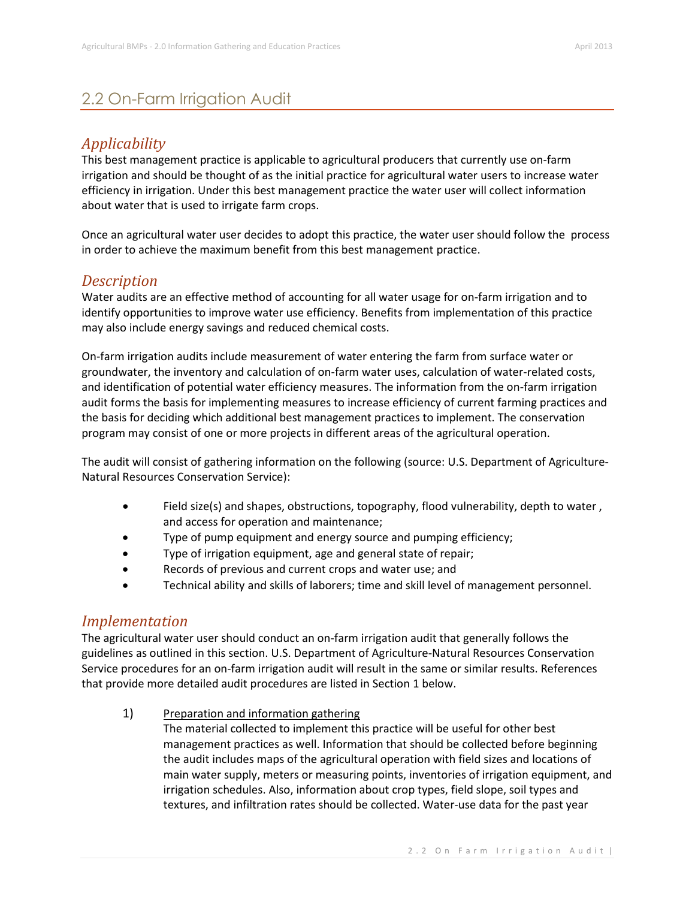## 2.2 On-Farm Irrigation Audit

### *Applicability*

This best management practice is applicable to agricultural producers that currently use on-farm irrigation and should be thought of as the initial practice for agricultural water users to increase water efficiency in irrigation. Under this best management practice the water user will collect information about water that is used to irrigate farm crops.

Once an agricultural water user decides to adopt this practice, the water user should follow the process in order to achieve the maximum benefit from this best management practice.

#### *Description*

Water audits are an effective method of accounting for all water usage for on-farm irrigation and to identify opportunities to improve water use efficiency. Benefits from implementation of this practice may also include energy savings and reduced chemical costs.

On-farm irrigation audits include measurement of water entering the farm from surface water or groundwater, the inventory and calculation of on-farm water uses, calculation of water-related costs, and identification of potential water efficiency measures. The information from the on-farm irrigation audit forms the basis for implementing measures to increase efficiency of current farming practices and the basis for deciding which additional best management practices to implement. The conservation program may consist of one or more projects in different areas of the agricultural operation.

The audit will consist of gathering information on the following (source: U.S. Department of Agriculture-Natural Resources Conservation Service):

- Field size(s) and shapes, obstructions, topography, flood vulnerability, depth to water , and access for operation and maintenance;
- Type of pump equipment and energy source and pumping efficiency;
- Type of irrigation equipment, age and general state of repair;
- Records of previous and current crops and water use; and
- Technical ability and skills of laborers; time and skill level of management personnel.

#### *Implementation*

The agricultural water user should conduct an on-farm irrigation audit that generally follows the guidelines as outlined in this section. U.S. Department of Agriculture-Natural Resources Conservation Service procedures for an on-farm irrigation audit will result in the same or similar results. References that provide more detailed audit procedures are listed in Section 1 below.

1) Preparation and information gathering The material collected to implement this practice will be useful for other best management practices as well. Information that should be collected before beginning the audit includes maps of the agricultural operation with field sizes and locations of main water supply, meters or measuring points, inventories of irrigation equipment, and irrigation schedules. Also, information about crop types, field slope, soil types and textures, and infiltration rates should be collected. Water-use data for the past year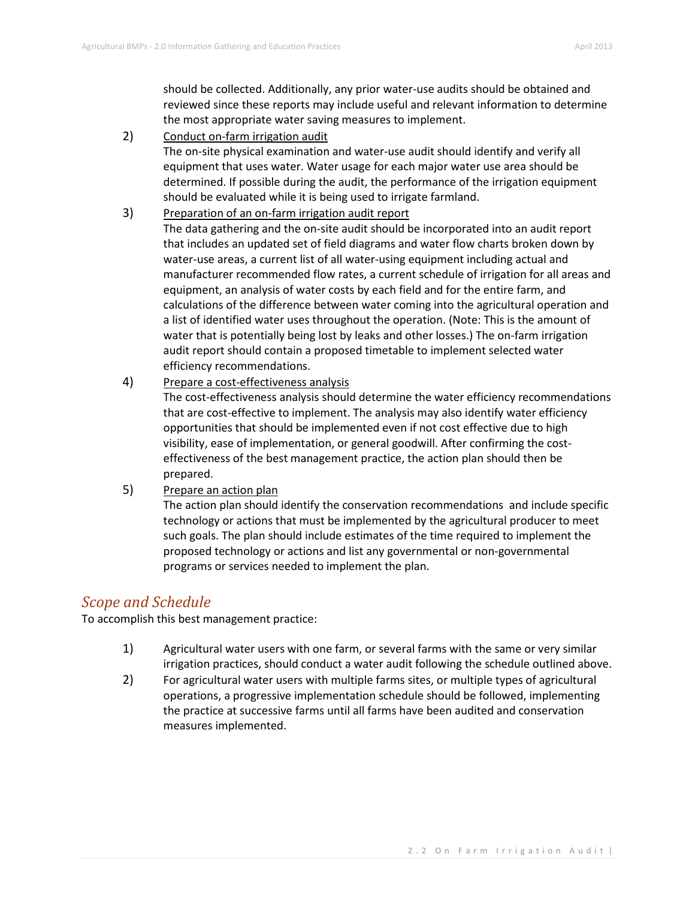should be collected. Additionally, any prior water-use audits should be obtained and reviewed since these reports may include useful and relevant information to determine the most appropriate water saving measures to implement.

2) Conduct on-farm irrigation audit

The on-site physical examination and water-use audit should identify and verify all equipment that uses water. Water usage for each major water use area should be determined. If possible during the audit, the performance of the irrigation equipment should be evaluated while it is being used to irrigate farmland.

- 3) Preparation of an on-farm irrigation audit report The data gathering and the on-site audit should be incorporated into an audit report that includes an updated set of field diagrams and water flow charts broken down by water-use areas, a current list of all water-using equipment including actual and manufacturer recommended flow rates, a current schedule of irrigation for all areas and equipment, an analysis of water costs by each field and for the entire farm, and calculations of the difference between water coming into the agricultural operation and a list of identified water uses throughout the operation. (Note: This is the amount of water that is potentially being lost by leaks and other losses.) The on-farm irrigation audit report should contain a proposed timetable to implement selected water efficiency recommendations.
- 4) Prepare a cost-effectiveness analysis

The cost-effectiveness analysis should determine the water efficiency recommendations that are cost-effective to implement. The analysis may also identify water efficiency opportunities that should be implemented even if not cost effective due to high visibility, ease of implementation, or general goodwill. After confirming the costeffectiveness of the best management practice, the action plan should then be prepared.

5) Prepare an action plan

The action plan should identify the conservation recommendations and include specific technology or actions that must be implemented by the agricultural producer to meet such goals. The plan should include estimates of the time required to implement the proposed technology or actions and list any governmental or non-governmental programs or services needed to implement the plan.

#### *Scope and Schedule*

To accomplish this best management practice:

- 1) Agricultural water users with one farm, or several farms with the same or very similar irrigation practices, should conduct a water audit following the schedule outlined above.
- 2) For agricultural water users with multiple farms sites, or multiple types of agricultural operations, a progressive implementation schedule should be followed, implementing the practice at successive farms until all farms have been audited and conservation measures implemented.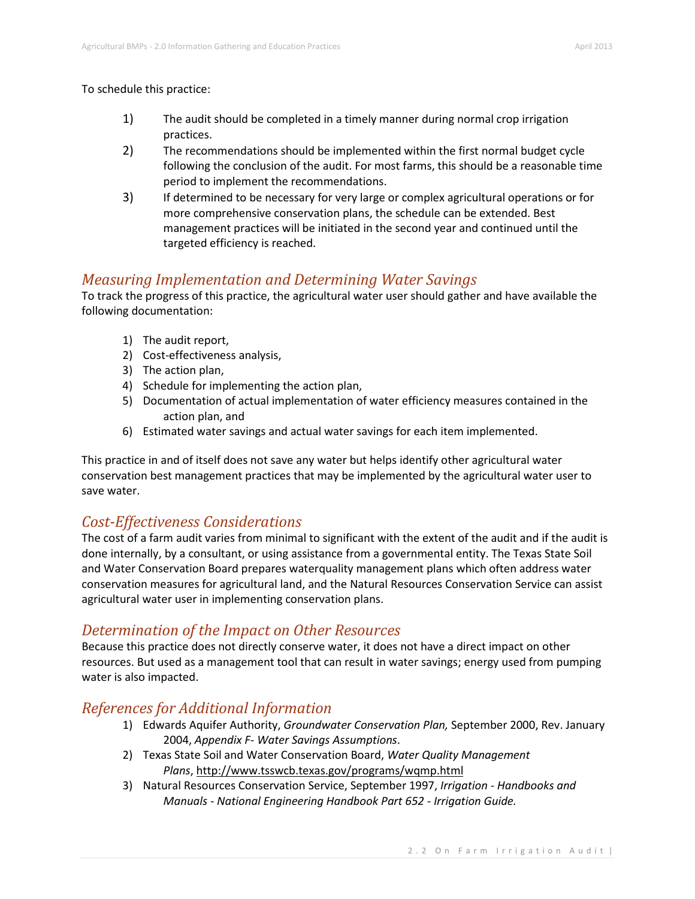To schedule this practice:

- 1) The audit should be completed in a timely manner during normal crop irrigation practices.
- 2) The recommendations should be implemented within the first normal budget cycle following the conclusion of the audit. For most farms, this should be a reasonable time period to implement the recommendations.
- 3) If determined to be necessary for very large or complex agricultural operations or for more comprehensive conservation plans, the schedule can be extended. Best management practices will be initiated in the second year and continued until the targeted efficiency is reached.

#### *Measuring Implementation and Determining Water Savings*

To track the progress of this practice, the agricultural water user should gather and have available the following documentation:

- 1) The audit report,
- 2) Cost-effectiveness analysis,
- 3) The action plan,
- 4) Schedule for implementing the action plan,
- 5) Documentation of actual implementation of water efficiency measures contained in the action plan, and
- 6) Estimated water savings and actual water savings for each item implemented.

This practice in and of itself does not save any water but helps identify other agricultural water conservation best management practices that may be implemented by the agricultural water user to save water.

#### *Cost-Effectiveness Considerations*

The cost of a farm audit varies from minimal to significant with the extent of the audit and if the audit is done internally, by a consultant, or using assistance from a governmental entity. The Texas State Soil and Water Conservation Board prepares waterquality management plans which often address water conservation measures for agricultural land, and the Natural Resources Conservation Service can assist agricultural water user in implementing conservation plans.

#### *Determination of the Impact on Other Resources*

Because this practice does not directly conserve water, it does not have a direct impact on other resources. But used as a management tool that can result in water savings; energy used from pumping water is also impacted.

### *References for Additional Information*

- 1) Edwards Aquifer Authority, *Groundwater Conservation Plan,* September 2000, Rev. January 2004, *Appendix F- Water Savings Assumptions*.
- 2) Texas State Soil and Water Conservation Board, *Water Quality Management Plans*, http://www.tsswcb.texas.gov/programs/wqmp.html
- 3) Natural Resources Conservation Service, September 1997, *Irrigation - Handbooks and Manuals - National Engineering Handbook Part 652 - Irrigation Guide.*